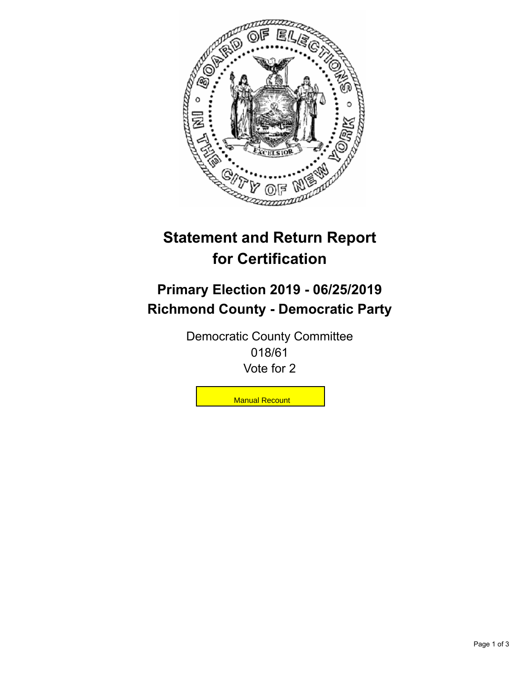

## **Statement and Return Report for Certification**

## **Primary Election 2019 - 06/25/2019 Richmond County - Democratic Party**

Democratic County Committee 018/61 Vote for 2

**Manual Recount**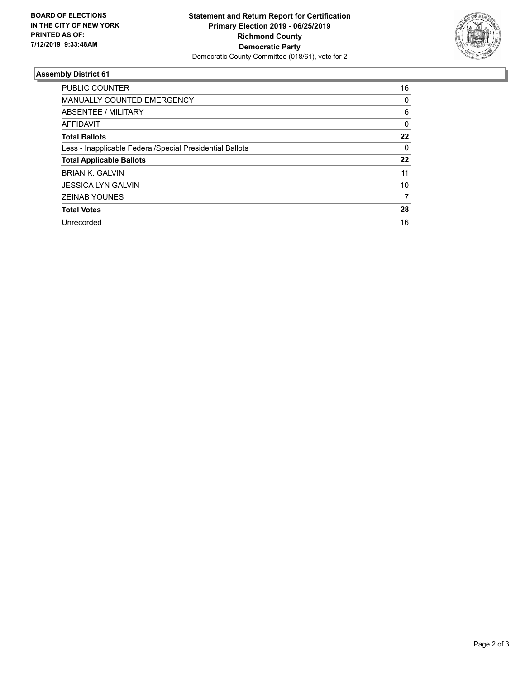

## **Assembly District 61**

| <b>PUBLIC COUNTER</b>                                    | 16 |
|----------------------------------------------------------|----|
| <b>MANUALLY COUNTED EMERGENCY</b>                        | 0  |
| ABSENTEE / MILITARY                                      | 6  |
| AFFIDAVIT                                                | 0  |
| <b>Total Ballots</b>                                     | 22 |
| Less - Inapplicable Federal/Special Presidential Ballots | 0  |
| <b>Total Applicable Ballots</b>                          | 22 |
| <b>BRIAN K. GALVIN</b>                                   | 11 |
| <b>JESSICA LYN GALVIN</b>                                | 10 |
| <b>ZEINAB YOUNES</b>                                     | 7  |
| <b>Total Votes</b>                                       | 28 |
| Unrecorded                                               | 16 |